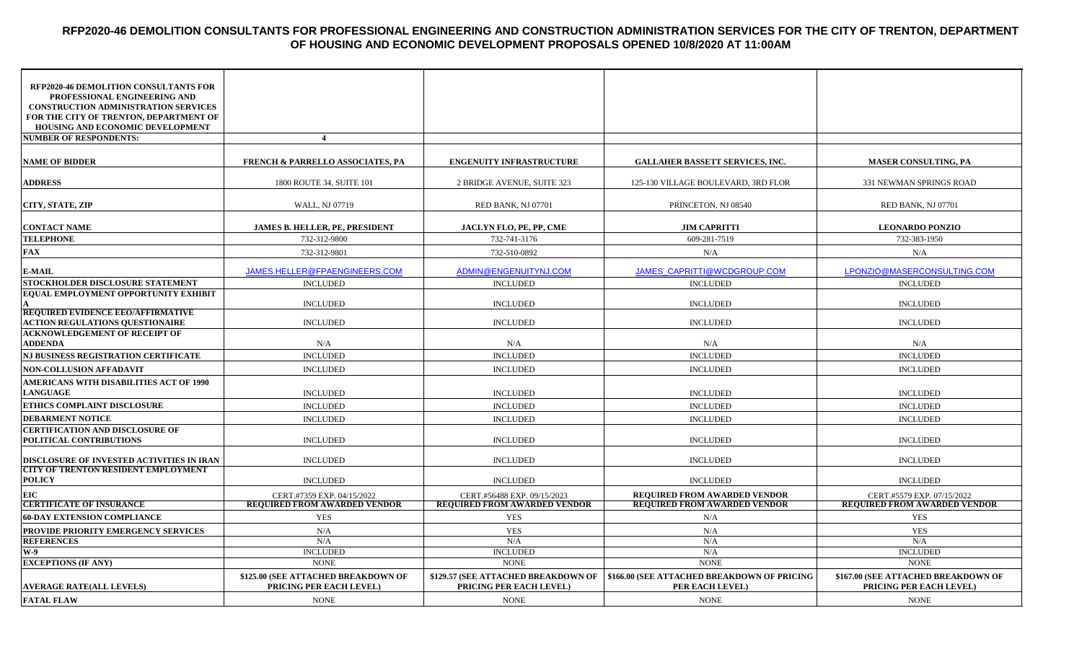# **RFP2020-46 DEMOLITION CONSULTANTS FOR PROFESSIONAL ENGINEERING AND CONSTRUCTION ADMINISTRATION SERVICES FOR THE CITY OF TRENTON, DEPARTMENT OF HOUSING AND ECONOMIC DEVELOPMENT PROPOSALS OPENED 10/8/2020 AT 11:00AM**

| <b>RFP2020-46 DEMOLITION CONSULTANTS FOR</b><br>PROFESSIONAL ENGINEERING AND<br><b>CONSTRUCTION ADMINISTRATION SERVICES</b><br>FOR THE CITY OF TRENTON, DEPARTMENT OF |                                                                       |                                                                       |                                                                            |                                                                       |
|-----------------------------------------------------------------------------------------------------------------------------------------------------------------------|-----------------------------------------------------------------------|-----------------------------------------------------------------------|----------------------------------------------------------------------------|-----------------------------------------------------------------------|
| HOUSING AND ECONOMIC DEVELOPMENT                                                                                                                                      | $\overline{4}$                                                        |                                                                       |                                                                            |                                                                       |
| <b>NUMBER OF RESPONDENTS:</b>                                                                                                                                         |                                                                       |                                                                       |                                                                            |                                                                       |
| <b>NAME OF BIDDER</b>                                                                                                                                                 | <b>FRENCH &amp; PARRELLO ASSOCIATES, PA</b>                           | <b>ENGENUITY INFRASTRUCTURE</b>                                       | <b>GALLAHER BASSETT SERVICES, INC.</b>                                     | <b>MASER CONSULTING, PA</b>                                           |
| <b>ADDRESS</b>                                                                                                                                                        | 1800 ROUTE 34, SUITE 101                                              | 2 BRIDGE AVENUE, SUITE 323                                            | 125-130 VILLAGE BOULEVARD, 3RD FLOR                                        | 331 NEWMAN SPRINGS ROAD                                               |
| CITY, STATE, ZIP                                                                                                                                                      | WALL, NJ 07719                                                        | RED BANK, NJ 07701                                                    | PRINCETON, NJ 08540                                                        | RED BANK, NJ 07701                                                    |
| <b>CONTACT NAME</b>                                                                                                                                                   | JAMES B. HELLER, PE, PRESIDENT                                        | JACLYN FLO, PE, PP, CME                                               | <b>JIM CAPRITTI</b>                                                        | <b>LEONARDO PONZIO</b>                                                |
| <b>TELEPHONE</b>                                                                                                                                                      | 732-312-9800                                                          | 732-741-3176                                                          | 609-281-7519                                                               | 732-383-1950                                                          |
| <b>FAX</b>                                                                                                                                                            | 732-312-9801                                                          | 732-510-0892                                                          | N/A                                                                        | N/A                                                                   |
| <b>E-MAIL</b>                                                                                                                                                         | JAMES.HELLER@FPAENGINEERS.COM                                         | ADMIN@ENGENUITYNJ.COM                                                 | JAMES CAPRITTI@WCDGROUP.COM                                                | LPONZIO@MASERCONSULTING.COM                                           |
| STOCKHOLDER DISCLOSURE STATEMENT                                                                                                                                      | <b>INCLUDED</b>                                                       | <b>INCLUDED</b>                                                       | <b>INCLUDED</b>                                                            | <b>INCLUDED</b>                                                       |
| <b>EQUAL EMPLOYMENT OPPORTUNITY EXHIBIT</b>                                                                                                                           | <b>INCLUDED</b>                                                       | <b>INCLUDED</b>                                                       | <b>INCLUDED</b>                                                            | <b>INCLUDED</b>                                                       |
| <b>REQUIRED EVIDENCE EEO/AFFIRMATIVE</b><br><b>ACTION REGULATIONS QUESTIONAIRE</b>                                                                                    | <b>INCLUDED</b>                                                       | <b>INCLUDED</b>                                                       | <b>INCLUDED</b>                                                            | <b>INCLUDED</b>                                                       |
| <b>ACKNOWLEDGEMENT OF RECEIPT OF</b><br><b>ADDENDA</b>                                                                                                                | N/A                                                                   | N/A                                                                   | N/A                                                                        | N/A                                                                   |
| NJ BUSINESS REGISTRATION CERTIFICATE                                                                                                                                  | <b>INCLUDED</b>                                                       | <b>INCLUDED</b>                                                       | <b>INCLUDED</b>                                                            | <b>INCLUDED</b>                                                       |
| <b>NON-COLLUSION AFFADAVIT</b>                                                                                                                                        | <b>INCLUDED</b>                                                       | <b>INCLUDED</b>                                                       | <b>INCLUDED</b>                                                            | <b>INCLUDED</b>                                                       |
| <b>AMERICANS WITH DISABILITIES ACT OF 1990</b><br><b>LANGUAGE</b>                                                                                                     | <b>INCLUDED</b>                                                       | <b>INCLUDED</b>                                                       | <b>INCLUDED</b>                                                            | <b>INCLUDED</b>                                                       |
| <b>ETHICS COMPLAINT DISCLOSURE</b>                                                                                                                                    | <b>INCLUDED</b>                                                       | <b>INCLUDED</b>                                                       | <b>INCLUDED</b>                                                            | <b>INCLUDED</b>                                                       |
| <b>DEBARMENT NOTICE</b>                                                                                                                                               | <b>INCLUDED</b>                                                       | <b>INCLUDED</b>                                                       | <b>INCLUDED</b>                                                            | <b>INCLUDED</b>                                                       |
| <b>CERTIFICATION AND DISCLOSURE OF</b><br>POLITICAL CONTRIBUTIONS                                                                                                     | <b>INCLUDED</b>                                                       | <b>INCLUDED</b>                                                       | <b>INCLUDED</b>                                                            | <b>INCLUDED</b>                                                       |
| DISCLOSURE OF INVESTED ACTIVITIES IN IRAN                                                                                                                             | <b>INCLUDED</b>                                                       | <b>INCLUDED</b>                                                       | <b>INCLUDED</b>                                                            | <b>INCLUDED</b>                                                       |
| <b>CITY OF TRENTON RESIDENT EMPLOYMENT</b><br><b>POLICY</b>                                                                                                           | <b>INCLUDED</b>                                                       | <b>INCLUDED</b>                                                       | <b>INCLUDED</b>                                                            | <b>INCLUDED</b>                                                       |
| <b>EIC</b><br><b>CERTIFICATE OF INSURANCE</b>                                                                                                                         | CERT.#7359 EXP. 04/15/2022<br><b>REQUIRED FROM AWARDED VENDOR</b>     | CERT.#56488 EXP. 09/15/2023<br><b>REQUIRED FROM AWARDED VENDOR</b>    | <b>REQUIRED FROM AWARDED VENDOR</b><br><b>REQUIRED FROM AWARDED VENDOR</b> | CERT.#5579 EXP. 07/15/2022<br><b>REQUIRED FROM AWARDED VENDOR</b>     |
| <b>60-DAY EXTENSION COMPLIANCE</b>                                                                                                                                    | <b>YES</b>                                                            | <b>YES</b>                                                            | N/A                                                                        | <b>YES</b>                                                            |
| PROVIDE PRIORITY EMERGENCY SERVICES                                                                                                                                   | N/A                                                                   | <b>YES</b>                                                            | N/A                                                                        | <b>YES</b>                                                            |
| <b>REFERENCES</b>                                                                                                                                                     | N/A                                                                   | N/A                                                                   | N/A                                                                        | N/A                                                                   |
| <b>W-9</b>                                                                                                                                                            | <b>INCLUDED</b>                                                       | <b>INCLUDED</b>                                                       | N/A                                                                        | <b>INCLUDED</b>                                                       |
| <b>EXCEPTIONS (IF ANY)</b>                                                                                                                                            | <b>NONE</b>                                                           | <b>NONE</b>                                                           | <b>NONE</b>                                                                | <b>NONE</b>                                                           |
| <b>AVERAGE RATE(ALL LEVELS)</b>                                                                                                                                       | \$125.00 (SEE ATTACHED BREAKDOWN OF<br><b>PRICING PER EACH LEVEL)</b> | \$129.57 (SEE ATTACHED BREAKDOWN OF<br><b>PRICING PER EACH LEVEL)</b> | \$166.00 (SEE ATTACHED BREAKDOWN OF PRICING<br>PER EACH LEVEL)             | \$167.00 (SEE ATTACHED BREAKDOWN OF<br><b>PRICING PER EACH LEVEL)</b> |
| <b>FATAL FLAW</b>                                                                                                                                                     | <b>NONE</b>                                                           | <b>NONE</b>                                                           | <b>NONE</b>                                                                | <b>NONE</b>                                                           |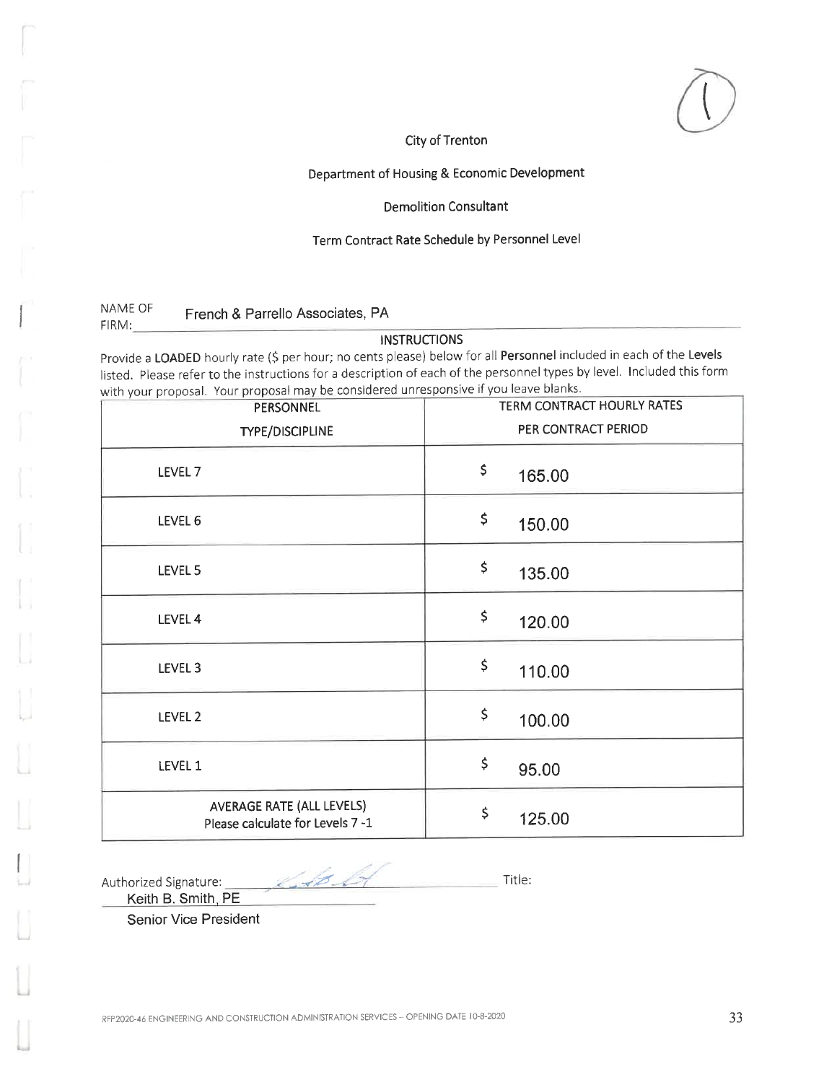# Department of Housing & Economic Development

#### **Demolition Consultant**

### Term Contract Rate Schedule by Personnel Level

NAME OF French & Parrello Associates, PA FIRM:

### **INSTRUCTIONS**

Provide a LOADED hourly rate (\$ per hour; no cents please) below for all Personnel included in each of the Levels listed. Please refer to the instructions for a description of each of the personnel types by level. Included this form with your proposal. Your proposal may be considered unresponsive if you leave blanks.

| PERSONNEL                                                     | TERM CONTRACT HOURLY RATES |  |
|---------------------------------------------------------------|----------------------------|--|
| TYPE/DISCIPLINE                                               | PER CONTRACT PERIOD        |  |
| LEVEL <sub>7</sub>                                            | \$<br>165.00               |  |
| LEVEL 6                                                       | \$<br>150.00               |  |
| LEVEL 5                                                       | \$<br>135.00               |  |
| LEVEL 4                                                       | \$<br>120.00               |  |
| LEVEL 3                                                       | \$<br>110.00               |  |
| LEVEL 2                                                       | \$<br>100.00               |  |
| LEVEL 1                                                       | \$<br>95.00                |  |
| AVERAGE RATE (ALL LEVELS)<br>Please calculate for Levels 7 -1 | \$<br>125.00               |  |

Authorized Signature:

Title:

Keith B. Smith, PE

**Senior Vice President** 

KAB LA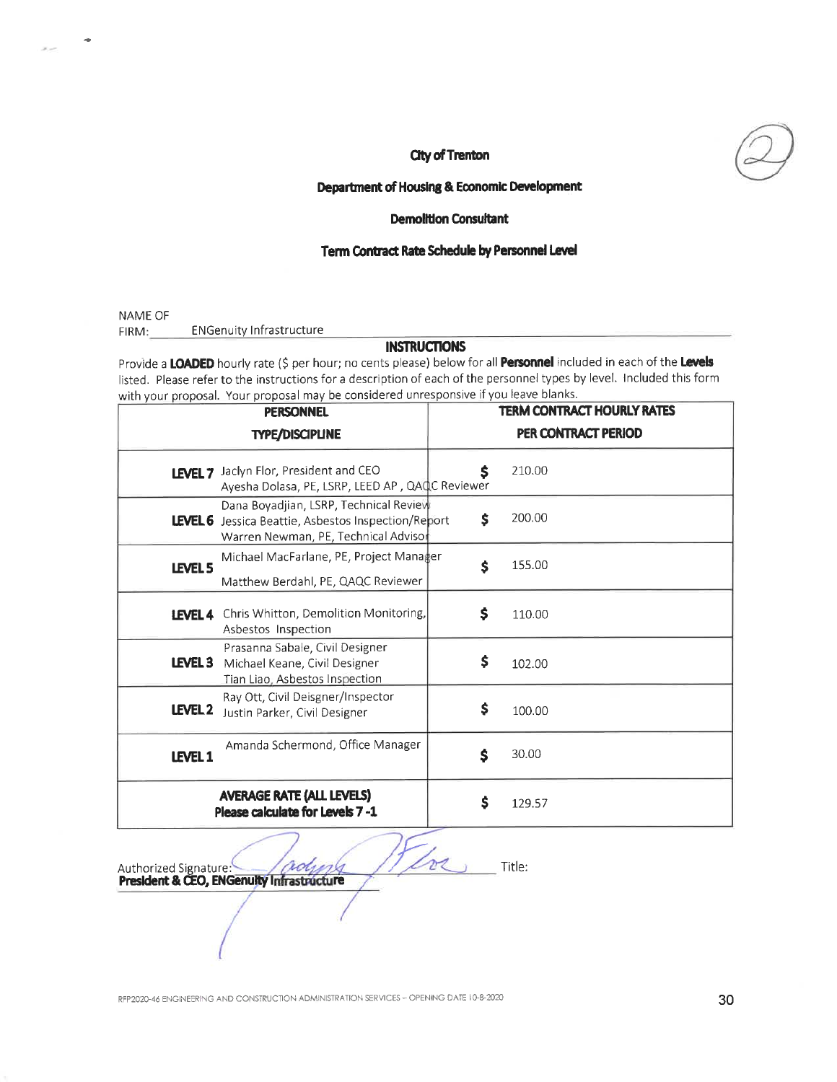

### Department of Housing & Economic Development

### **Demolition Consultant**

### Term Contract Rate Schedule by Personnel Level

NAME OF

**ENGenuity Infrastructure** FIRM:

# **INSTRUCTIONS**

Provide a LOADED hourly rate (\$ per hour; no cents please) below for all Personnel included in each of the Levels listed. Please refer to the instructions for a description of each of the personnel types by level. Included this form with your proposal. Your proposal may be considered unresponsive if you leave blanks.

| <b>PERSONNEL</b>                                                    |                                                                                                                                       | <b>TERM CONTRACT HOURLY RATES</b> |        |
|---------------------------------------------------------------------|---------------------------------------------------------------------------------------------------------------------------------------|-----------------------------------|--------|
| <b>TYPE/DISCIPLINE</b>                                              |                                                                                                                                       | PER CONTRACT PERIOD               |        |
| LEVEL <sub>7</sub>                                                  | Jaclyn Flor, President and CEO<br>Ayesha Dolasa, PE, LSRP, LEED AP, QAQC Reviewer                                                     | \$                                | 210.00 |
|                                                                     | Dana Boyadjian, LSRP, Technical Review<br>LEVEL 6 Jessica Beattie, Asbestos Inspection/Report<br>Warren Newman, PE, Technical Advisor | \$                                | 200.00 |
| LEVEL 5                                                             | Michael MacFarlane, PE, Project Manager<br>Matthew Berdahl, PE, QAQC Reviewer                                                         | \$                                | 155.00 |
| LEVEL 4                                                             | Chris Whitton, Demolition Monitoring,<br>Asbestos Inspection                                                                          | \$                                | 110.00 |
| LEVEL <sub>3</sub>                                                  | Prasanna Sabale, Civil Designer<br>Michael Keane, Civil Designer<br>Tian Liao, Asbestos Inspection                                    | \$                                | 102.00 |
| LEVEL <sub>2</sub>                                                  | Ray Ott, Civil Deisgner/Inspector<br>Justin Parker, Civil Designer                                                                    | \$                                | 100.00 |
| LEVEL 1                                                             | Amanda Schermond, Office Manager                                                                                                      | \$                                | 30.00  |
| <b>AVERAGE RATE (ALL LEVELS)</b><br>Please calculate for Levels 7-1 |                                                                                                                                       | \$                                | 129.57 |

Title:

Authorized Signature: 2004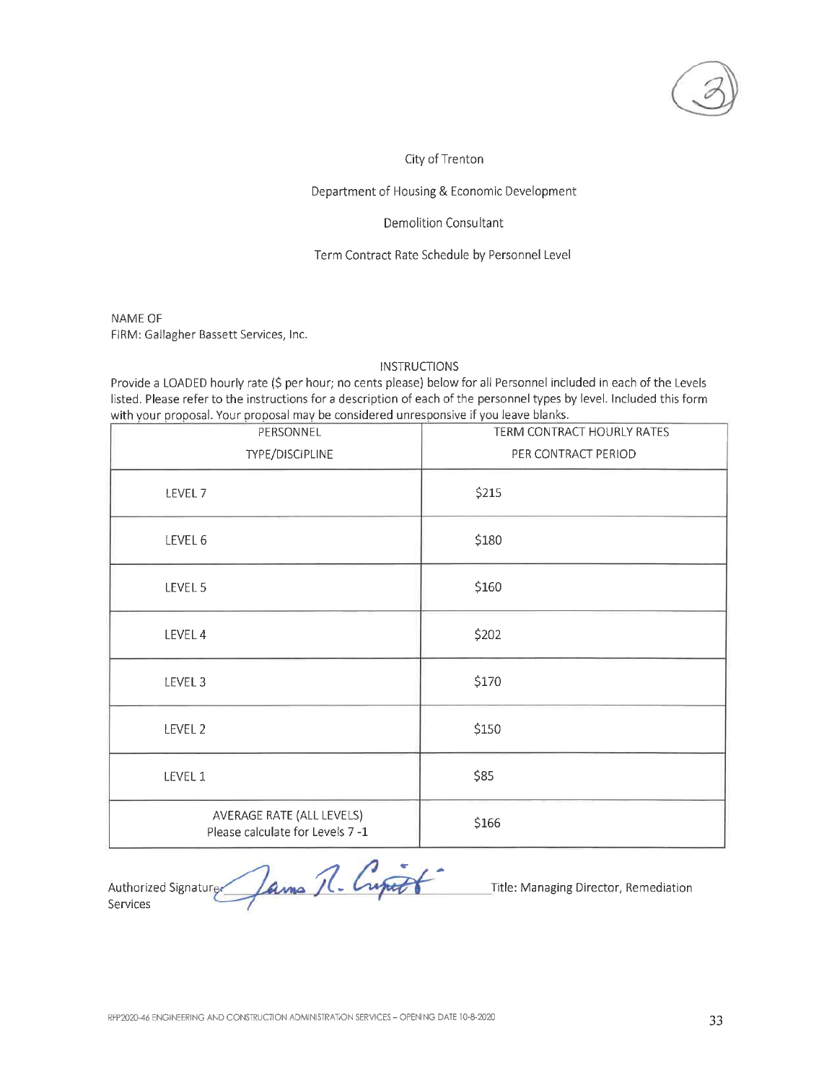#### Department of Housing & Economic Development

### **Demolition Consultant**

### Term Contract Rate Schedule by Personnel Level

NAME OF FIRM: Gallagher Bassett Services, Inc.

# **INSTRUCTIONS**

Provide a LOADED hourly rate (\$ per hour; no cents please) below for all Personnel included in each of the Levels listed. Please refer to the instructions for a description of each of the personnel types by level. Included this form with your proposal. Your proposal may be considered unresponsive if you leave blanks.

| PERSONNEL                                                    | TERM CONTRACT HOURLY RATES |  |
|--------------------------------------------------------------|----------------------------|--|
| TYPE/DISCIPLINE                                              | PER CONTRACT PERIOD        |  |
| LEVEL 7                                                      | \$215                      |  |
| LEVEL 6                                                      | \$180                      |  |
| LEVEL 5                                                      | \$160                      |  |
| LEVEL 4                                                      | \$202                      |  |
| LEVEL 3                                                      | \$170                      |  |
| LEVEL 2                                                      | \$150                      |  |
| LEVEL 1                                                      | \$85                       |  |
| AVERAGE RATE (ALL LEVELS)<br>Please calculate for Levels 7-1 | \$166                      |  |

Authorized Signature James R. Cupart

Title: Managing Director, Remediation